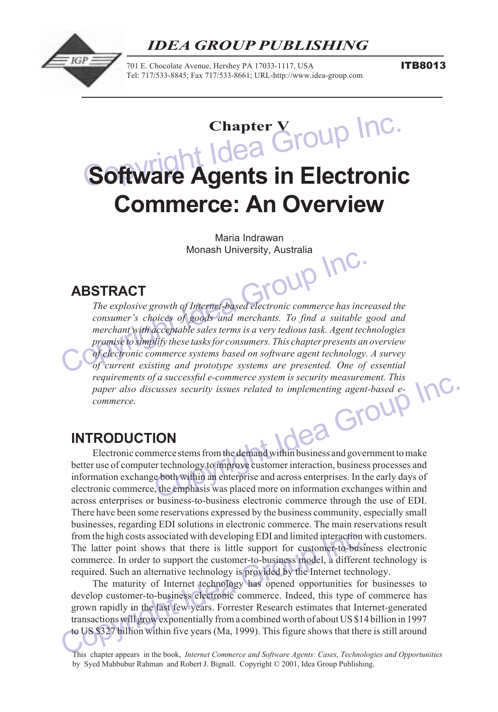#### $S_{\rm eff}$  software  $\sim$   $S_{\rm eff}$  and  $\sim$   $S_{\rm eff}$  and  $\sim$   $S_{\rm eff}$  and  $\sim$ *IDEA GROUP PUBLISHING*



701 E. Chocolate Avenue, Hershey PA 17033-1117, USA Tel: 717/533-8845; Fax 717/533-8661; URL-http://www.idea-group.com ITB8013

# **Chapter V**<br> **Chapter V** Coup Inc.<br> **Chapter V** Coup Inc. **Software Agents in Electronic Commerce: An Overview**

Group Inc. Maria Indrawan Monash University, Australia

## **ABSTRACT**

Idea Group Inc. *The explosive growth of Internet-based electronic commerce has increased the* consumer's choices of goods and merchants. To find a suitable good and *merchant with acceptable sales terms is a very tedious task. Agent technologies promise to simplify these tasks for consumers. This chapter presents an overview of electronic commerce systems based on software agent technology. A survey of current existing and prototype systems are presented. One of essential requirements of a successful e-commerce system is security measurement. This paper also discusses security issues related to implementing agent-based ecommerce.*

# **INTRODUCTION**

Electronic commerce stems from the demand within business and government to make better use of computer technology to improve customer interaction, business processes and information exchange both within an enterprise and across enterprises. In the early days of electronic commerce, the emphasis was placed more on information exchanges within and across enterprises or business-to-business electronic commerce through the use of EDI. There have been some reservations expressed by the business community, especially small businesses, regarding EDI solutions in electronic commerce. The main reservations result from the high costs associated with developing EDI and limited interaction with customers. The latter point shows that there is little support for customer-to-business electronic commerce. In order to support the customer-to-business model, a different technology is required. Such an alternative technology is provided by the Internet technology.

from the high costs associated with developing EDI and limited interaction v<br>The latter point shows that there is little support for customer-to-busin<br>commerce. In order to support the customer-to-business model, a differ The maturity of Internet technology has opened opportunities for businesses to develop customer-to-business electronic commerce. Indeed, this type of commerce has grown rapidly in the last few years. Forrester Research estimates that Internet-generated transactions will grow exponentially from a combined worth of about US \$14 billion in 1997 to US \$327 billion within five years (Ma, 1999). This figure shows that there is still around

This chapter appears in the book, *Internet Commerce and Software Agents: Cases, Technologies and Opportunities* by Syed Mahbubur Rahman and Robert J. Bignall. Copyright © 2001, Idea Group Publishing.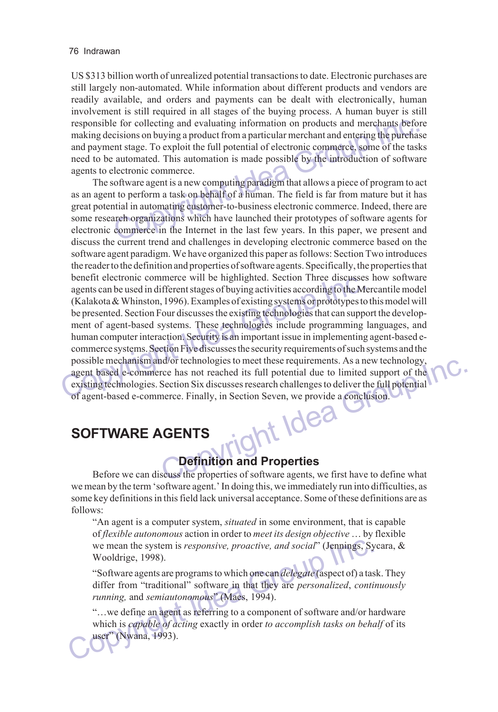US \$313 billion worth of unrealized potential transactions to date. Electronic purchases are still largely non-automated. While information about different products and vendors are readily available, and orders and payments can be dealt with electronically, human involvement is still required in all stages of the buying process. A human buyer is still responsible for collecting and evaluating information on products and merchants before making decisions on buying a product from a particular merchant and entering the purchase and payment stage. To exploit the full potential of electronic commerce, some of the tasks need to be automated. This automation is made possible by the introduction of software agents to electronic commerce.

e for collecting and evaluating information on products and merchants befocisions on buying a product from a particular merchant and entering the purchase ent stage. To exploit the full potential of electronic commerce, so benefit electronic commerce will be highlighted. Section Timee discusses<br>agents can be used in different stages of buying activities according to the M<br>(Kalakota & Whinston, 1996). Examples of existing systems or prototype Ed its full potential due to limited support of the ses research challenges to deliver the full potential<br>Section Seven, we provide a conclusion. The software agent is a new computing paradigm that allows a piece of program to act as an agent to perform a task on behalf of a human. The field is far from mature but it has great potential in automating customer-to-business electronic commerce. Indeed, there are some research organizations which have launched their prototypes of software agents for electronic commerce in the Internet in the last few years. In this paper, we present and discuss the current trend and challenges in developing electronic commerce based on the software agent paradigm. We have organized this paper as follows: Section Two introduces the reader to the definition and properties of software agents. Specifically, the properties that benefit electronic commerce will be highlighted. Section Three discusses how software agents can be used in different stages of buying activities according to the Mercantile model (Kalakota & Whinston, 1996). Examples of existing systems or prototypes to this model will be presented. Section Four discusses the existing technologies that can support the development of agent-based systems. These technologies include programming languages, and human computer interaction. Security is an important issue in implementing agent-based ecommerce systems. Section Five discusses the security requirements of such systems and the possible mechanism and/or technologies to meet these requirements. As a new technology, agent based e-commerce has not reached its full potential due to limited support of the existing technologies. Section Six discusses research challenges to deliver the full potential of agent-based e-commerce. Finally, in Section Seven, we provide a conclusion.

# **SOFTWARE AGENTS**

## **Definition and Properties**

Before we can discuss the properties of software agents, we first have to define what we mean by the term 'software agent.' In doing this, we immediately run into difficulties, as some key definitions in this field lack universal acceptance. Some of these definitions are as follows:

ìAn agent is a computer system, *situated* in some environment, that is capable of *flexible autonomous* action in order to *meet its design objective* ... by flexible we mean the system is *responsive, proactive, and social*" (Jennings, Sycara, & Wooldrige, 1998).

ìSoftware agents are programs to which one can *delegate* (aspect of) a task. They differ from "traditional" software in that they are *personalized*, *continuously running,* and *semiautonomous*î (Maes, 1994).

we mean the system is *responsive, proactive, and social*" (Jennings, Sy Wooldrige, 1998).<br>
"Software agents are programs to which one can *delegate* (aspect of) a tas<br>
differ from "traditional" software in that they are ìÖwe define an agent as referring to a component of software and/or hardware which is *capable of acting* exactly in order *to accomplish tasks on behalf* of its user" (Nwana, 1993).